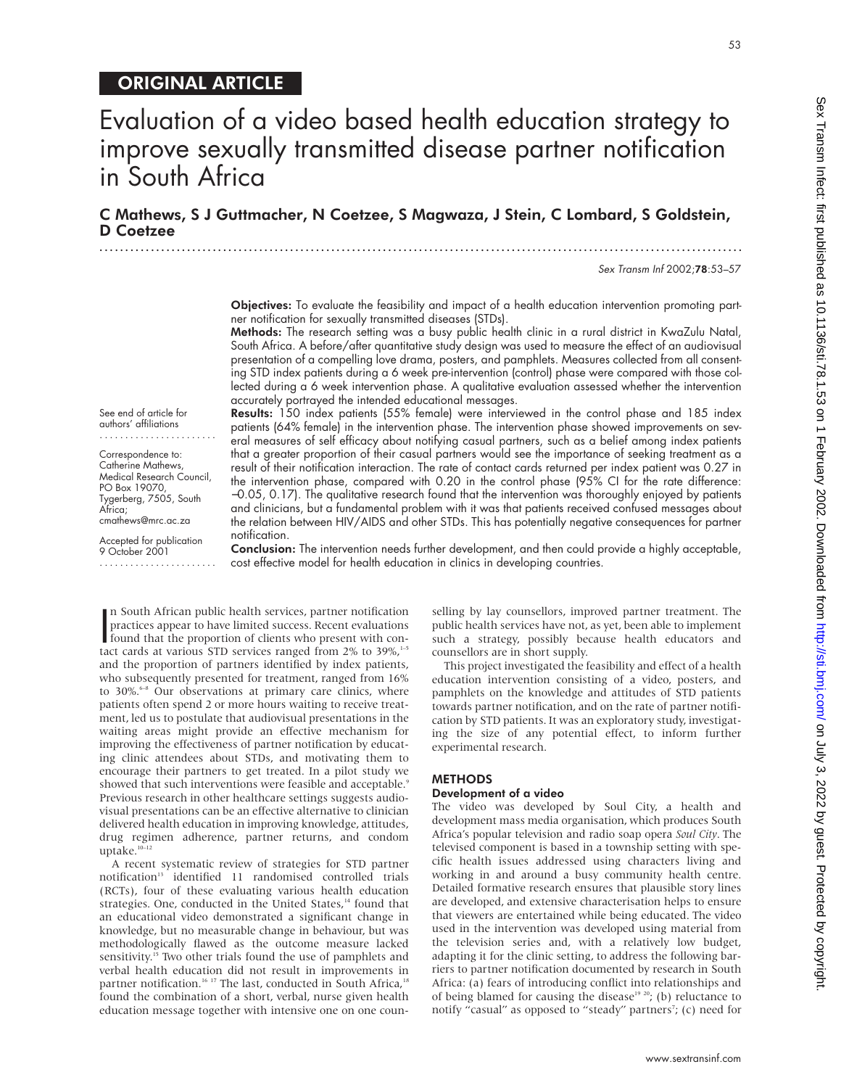# ORIGINAL ARTICLE

# C Mathews, S J Guttmacher, N Coetzee, S Magwaza, J Stein, C Lombard, S Goldstein, D Coetzee

.............................................................................................................................

Sex Transm Inf 2002;78:53–57

53

Objectives: To evaluate the feasibility and impact of a health education intervention promoting partner notification for sexually transmitted diseases (STDs).

Methods: The research setting was a busy public health clinic in a rural district in KwaZulu Natal, South Africa. A before/after quantitative study design was used to measure the effect of an audiovisual presentation of a compelling love drama, posters, and pamphlets. Measures collected from all consenting STD index patients during a 6 week pre-intervention (control) phase were compared with those collected during a 6 week intervention phase. A qualitative evaluation assessed whether the intervention accurately portrayed the intended educational messages.

See end of article for authors' affiliations .......................

Correspondence to: Catherine Mathews, Medical Research Council, PO Box 19070, Tygerberg, 7505, South Africa; cmathews@mrc.ac.za

Accepted for publication 9 October 2001 .......................

Results: 150 index patients (55% female) were interviewed in the control phase and 185 index patients (64% female) in the intervention phase. The intervention phase showed improvements on several measures of self efficacy about notifying casual partners, such as a belief among index patients that a greater proportion of their casual partners would see the importance of seeking treatment as a result of their notification interaction. The rate of contact cards returned per index patient was 0.27 in the intervention phase, compared with 0.20 in the control phase (95% CI for the rate difference: −0.05, 0.17). The qualitative research found that the intervention was thoroughly enjoyed by patients and clinicians, but a fundamental problem with it was that patients received confused messages about the relation between HIV/AIDS and other STDs. This has potentially negative consequences for partner notification.

Conclusion: The intervention needs further development, and then could provide a highly acceptable, cost effective model for health education in clinics in developing countries.

n South African public health services, partner notification<br>practices appear to have limited success. Recent evaluations<br>found that the proportion of clients who present with con-<br>tact cards at various STD services ranged n South African public health services, partner notification practices appear to have limited success. Recent evaluations tact cards at various STD services ranged from 2% to 39%, $1-5$ and the proportion of partners identified by index patients, who subsequently presented for treatment, ranged from 16% to 30%.<sup>6–8</sup> Our observations at primary care clinics, where patients often spend 2 or more hours waiting to receive treatment, led us to postulate that audiovisual presentations in the waiting areas might provide an effective mechanism for improving the effectiveness of partner notification by educating clinic attendees about STDs, and motivating them to encourage their partners to get treated. In a pilot study we showed that such interventions were feasible and acceptable.<sup>9</sup> Previous research in other healthcare settings suggests audiovisual presentations can be an effective alternative to clinician delivered health education in improving knowledge, attitudes, drug regimen adherence, partner returns, and condom uptake.<sup>10-12</sup>

A recent systematic review of strategies for STD partner notification<sup>13</sup> identified 11 randomised controlled trials (RCTs), four of these evaluating various health education strategies. One, conducted in the United States,<sup>14</sup> found that an educational video demonstrated a significant change in knowledge, but no measurable change in behaviour, but was methodologically flawed as the outcome measure lacked sensitivity.<sup>15</sup> Two other trials found the use of pamphlets and verbal health education did not result in improvements in partner notification.<sup>16 17</sup> The last, conducted in South Africa,<sup>18</sup> found the combination of a short, verbal, nurse given health education message together with intensive one on one counselling by lay counsellors, improved partner treatment. The public health services have not, as yet, been able to implement such a strategy, possibly because health educators and counsellors are in short supply.

This project investigated the feasibility and effect of a health education intervention consisting of a video, posters, and pamphlets on the knowledge and attitudes of STD patients towards partner notification, and on the rate of partner notification by STD patients. It was an exploratory study, investigating the size of any potential effect, to inform further experimental research.

### **METHODS**

### Development of a video

The video was developed by Soul City, a health and development mass media organisation, which produces South Africa's popular television and radio soap opera *Soul City*. The televised component is based in a township setting with specific health issues addressed using characters living and working in and around a busy community health centre. Detailed formative research ensures that plausible story lines are developed, and extensive characterisation helps to ensure that viewers are entertained while being educated. The video used in the intervention was developed using material from the television series and, with a relatively low budget, adapting it for the clinic setting, to address the following barriers to partner notification documented by research in South Africa: (a) fears of introducing conflict into relationships and of being blamed for causing the disease<sup>19 20</sup>; (b) reluctance to notify "casual" as opposed to "steady" partners<sup>7</sup>; (c) need for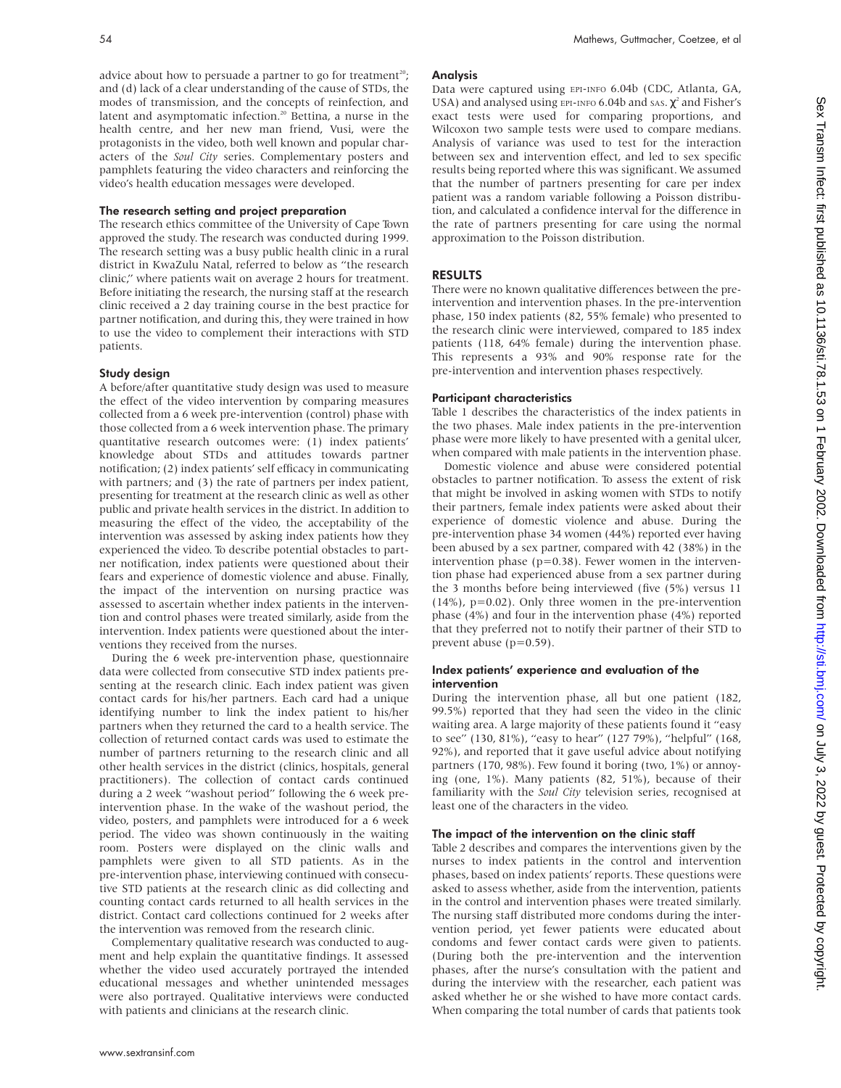advice about how to persuade a partner to go for treatment<sup>20</sup>; and (d) lack of a clear understanding of the cause of STDs, the modes of transmission, and the concepts of reinfection, and latent and asymptomatic infection.<sup>20</sup> Bettina, a nurse in the health centre, and her new man friend, Vusi, were the protagonists in the video, both well known and popular characters of the *Soul City* series. Complementary posters and pamphlets featuring the video characters and reinforcing the video's health education messages were developed.

### The research setting and project preparation

The research ethics committee of the University of Cape Town approved the study. The research was conducted during 1999. The research setting was a busy public health clinic in a rural district in KwaZulu Natal, referred to below as "the research clinic," where patients wait on average 2 hours for treatment. Before initiating the research, the nursing staff at the research clinic received a 2 day training course in the best practice for partner notification, and during this, they were trained in how to use the video to complement their interactions with STD patients.

### Study design

A before/after quantitative study design was used to measure the effect of the video intervention by comparing measures collected from a 6 week pre-intervention (control) phase with those collected from a 6 week intervention phase. The primary quantitative research outcomes were: (1) index patients' knowledge about STDs and attitudes towards partner notification; (2) index patients' self efficacy in communicating with partners; and (3) the rate of partners per index patient, presenting for treatment at the research clinic as well as other public and private health services in the district. In addition to measuring the effect of the video, the acceptability of the intervention was assessed by asking index patients how they experienced the video. To describe potential obstacles to partner notification, index patients were questioned about their fears and experience of domestic violence and abuse. Finally, the impact of the intervention on nursing practice was assessed to ascertain whether index patients in the intervention and control phases were treated similarly, aside from the intervention. Index patients were questioned about the interventions they received from the nurses.

During the 6 week pre-intervention phase, questionnaire data were collected from consecutive STD index patients presenting at the research clinic. Each index patient was given contact cards for his/her partners. Each card had a unique identifying number to link the index patient to his/her partners when they returned the card to a health service. The collection of returned contact cards was used to estimate the number of partners returning to the research clinic and all other health services in the district (clinics, hospitals, general practitioners). The collection of contact cards continued during a 2 week "washout period" following the 6 week preintervention phase. In the wake of the washout period, the video, posters, and pamphlets were introduced for a 6 week period. The video was shown continuously in the waiting room. Posters were displayed on the clinic walls and pamphlets were given to all STD patients. As in the pre-intervention phase, interviewing continued with consecutive STD patients at the research clinic as did collecting and counting contact cards returned to all health services in the district. Contact card collections continued for 2 weeks after the intervention was removed from the research clinic.

Complementary qualitative research was conducted to augment and help explain the quantitative findings. It assessed whether the video used accurately portrayed the intended educational messages and whether unintended messages were also portrayed. Qualitative interviews were conducted with patients and clinicians at the research clinic.

### Analysis

Data were captured using EPI-INFO 6.04b (CDC, Atlanta, GA, USA) and analysed using EPI-INFO 6.04b and SAS.  $\chi^2$  and Fisher's exact tests were used for comparing proportions, and Wilcoxon two sample tests were used to compare medians. Analysis of variance was used to test for the interaction between sex and intervention effect, and led to sex specific results being reported where this was significant. We assumed that the number of partners presenting for care per index patient was a random variable following a Poisson distribution, and calculated a confidence interval for the difference in the rate of partners presenting for care using the normal approximation to the Poisson distribution.

## RESULTS

There were no known qualitative differences between the preintervention and intervention phases. In the pre-intervention phase, 150 index patients (82, 55% female) who presented to the research clinic were interviewed, compared to 185 index patients (118, 64% female) during the intervention phase. This represents a 93% and 90% response rate for the pre-intervention and intervention phases respectively.

### Participant characteristics

Table 1 describes the characteristics of the index patients in the two phases. Male index patients in the pre-intervention phase were more likely to have presented with a genital ulcer, when compared with male patients in the intervention phase.

Domestic violence and abuse were considered potential obstacles to partner notification. To assess the extent of risk that might be involved in asking women with STDs to notify their partners, female index patients were asked about their experience of domestic violence and abuse. During the pre-intervention phase 34 women (44%) reported ever having been abused by a sex partner, compared with 42 (38%) in the intervention phase  $(p=0.38)$ . Fewer women in the intervention phase had experienced abuse from a sex partner during the 3 months before being interviewed (five (5%) versus 11  $(14%)$ ,  $p=0.02$ ). Only three women in the pre-intervention phase (4%) and four in the intervention phase (4%) reported that they preferred not to notify their partner of their STD to prevent abuse (p=0.59).

### Index patients' experience and evaluation of the intervention

During the intervention phase, all but one patient (182, 99.5%) reported that they had seen the video in the clinic waiting area. A large majority of these patients found it "easy to see" (130, 81%), "easy to hear" (127 79%), "helpful" (168, 92%), and reported that it gave useful advice about notifying partners (170, 98%). Few found it boring (two, 1%) or annoying (one, 1%). Many patients (82, 51%), because of their familiarity with the *Soul City* television series, recognised at least one of the characters in the video.

### The impact of the intervention on the clinic staff

Table 2 describes and compares the interventions given by the nurses to index patients in the control and intervention phases, based on index patients' reports. These questions were asked to assess whether, aside from the intervention, patients in the control and intervention phases were treated similarly. The nursing staff distributed more condoms during the intervention period, yet fewer patients were educated about condoms and fewer contact cards were given to patients. (During both the pre-intervention and the intervention phases, after the nurse's consultation with the patient and during the interview with the researcher, each patient was asked whether he or she wished to have more contact cards. When comparing the total number of cards that patients took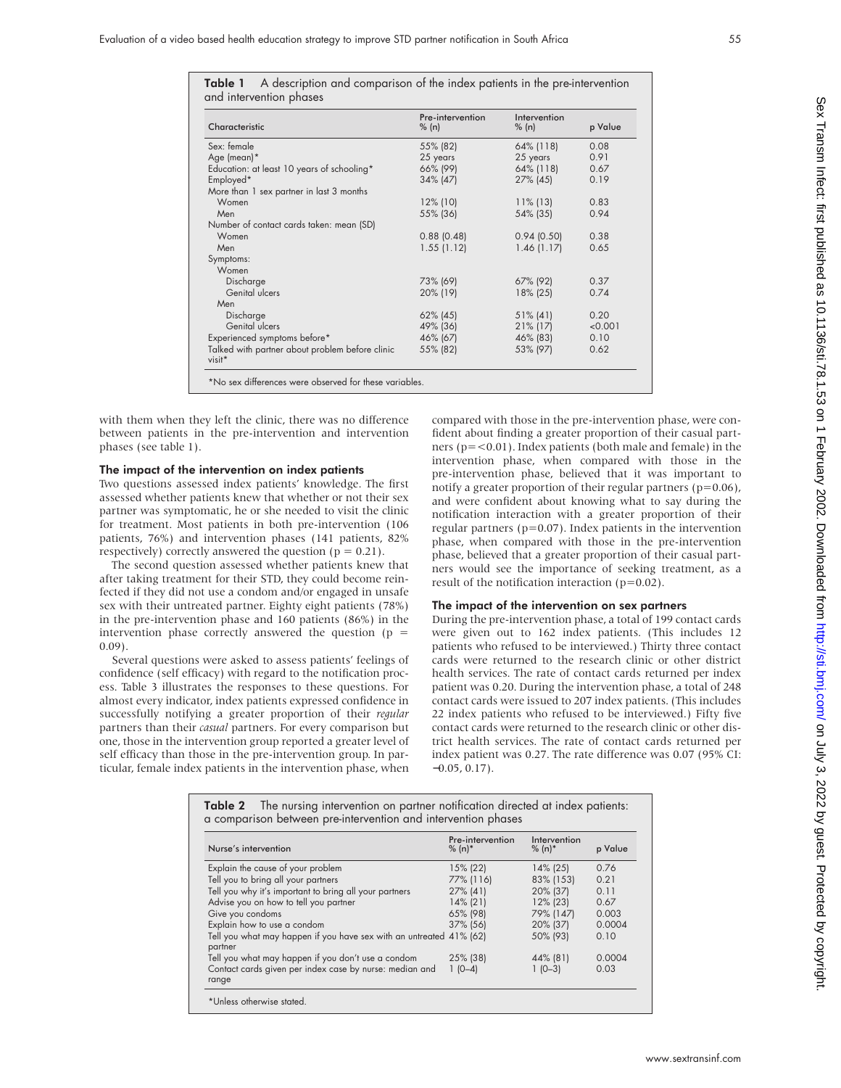Sex Transm Infect: first published as 10.1136/sti.78.1.541. July 3.2022. Downloaded from Ntp://sti.bmj.com/ Sex Transm Infect: First published as 10.1136/sti.786. Downloaded from Andy 2022. Dy July 3, 2022. Dy July 3, 2022

| Characteristic                                                                                                                                                                                                                                                                               | Pre-intervention<br>% (n) | Intervention<br>% (n)                                                                                                                                                                                                                                                                                               | p Value |
|----------------------------------------------------------------------------------------------------------------------------------------------------------------------------------------------------------------------------------------------------------------------------------------------|---------------------------|---------------------------------------------------------------------------------------------------------------------------------------------------------------------------------------------------------------------------------------------------------------------------------------------------------------------|---------|
| Sex: female                                                                                                                                                                                                                                                                                  | 55% (82)                  | 64% (118)                                                                                                                                                                                                                                                                                                           | 0.08    |
| Age (mean)*                                                                                                                                                                                                                                                                                  | 25 years                  | 25 years                                                                                                                                                                                                                                                                                                            | 0.91    |
| Education: at least 10 years of schooling*                                                                                                                                                                                                                                                   | 66% (99)                  | 64% (118)                                                                                                                                                                                                                                                                                                           | 0.67    |
| Employed*                                                                                                                                                                                                                                                                                    | 34% (47)                  | 27% (45)                                                                                                                                                                                                                                                                                                            | 0.19    |
| More than 1 sex partner in last 3 months                                                                                                                                                                                                                                                     |                           |                                                                                                                                                                                                                                                                                                                     |         |
| Women                                                                                                                                                                                                                                                                                        | $12\%$ (10)               | $11\%$ (13)                                                                                                                                                                                                                                                                                                         | 0.83    |
| Men                                                                                                                                                                                                                                                                                          | 55% (36)                  | 54% (35)                                                                                                                                                                                                                                                                                                            | 0.94    |
| Number of contact cards taken: mean (SD)                                                                                                                                                                                                                                                     |                           |                                                                                                                                                                                                                                                                                                                     |         |
| Women                                                                                                                                                                                                                                                                                        | $0.88$ (0.48)             | 0.94(0.50)                                                                                                                                                                                                                                                                                                          | 0.38    |
| Men                                                                                                                                                                                                                                                                                          | 1.55(1.12)                | 1.46(1.17)                                                                                                                                                                                                                                                                                                          | 0.65    |
| Symptoms:                                                                                                                                                                                                                                                                                    |                           |                                                                                                                                                                                                                                                                                                                     |         |
| Women                                                                                                                                                                                                                                                                                        |                           |                                                                                                                                                                                                                                                                                                                     |         |
| Discharge                                                                                                                                                                                                                                                                                    | 73% (69)                  | 67% (92)                                                                                                                                                                                                                                                                                                            | 0.37    |
| Genital ulcers                                                                                                                                                                                                                                                                               | 20% (19)                  | 18% (25)                                                                                                                                                                                                                                                                                                            | 0.74    |
| Men                                                                                                                                                                                                                                                                                          |                           |                                                                                                                                                                                                                                                                                                                     |         |
| Discharge                                                                                                                                                                                                                                                                                    | 62% (45)                  | $51\%$ (41)                                                                                                                                                                                                                                                                                                         | 0.20    |
| Genital ulcers                                                                                                                                                                                                                                                                               | 49% (36)                  | $21\%$ (17)                                                                                                                                                                                                                                                                                                         | < 0.001 |
| Experienced symptoms before*                                                                                                                                                                                                                                                                 | 46% (67)                  | 46% (83)                                                                                                                                                                                                                                                                                                            | 0.10    |
| Talked with partner about problem before clinic<br>visit*                                                                                                                                                                                                                                    | 55% (82)                  | 53% (97)                                                                                                                                                                                                                                                                                                            | 0.62    |
| *No sex differences were observed for these variables.                                                                                                                                                                                                                                       |                           |                                                                                                                                                                                                                                                                                                                     |         |
| left the clinic, there was no difference<br>the pre-intervention and intervention                                                                                                                                                                                                            |                           | compared with those in the pre-intervent<br>fident about finding a greater proportion<br>ners ( $p = < 0.01$ ). Index patients (both mal<br>intervention phase, when compared                                                                                                                                       |         |
| tervention on index patients<br>ed index patients' knowledge. The first<br>ents knew that whether or not their sex<br>atic, he or she needed to visit the clinic<br>patients in both pre-intervention (106<br>ntervention phases (141 patients, 82%<br>answered the question ( $p = 0.21$ ). |                           | pre-intervention phase, believed that it<br>notify a greater proportion of their regular<br>and were confident about knowing what<br>notification interaction with a greater<br>regular partners ( $p=0.07$ ). Index patients<br>phase, when compared with those in t<br>phase, believed that a greater proportion. |         |

Table 1 A description and comparison of the index patients in the pre-intervention and intervention phases

with them when they left the clinic, there between patients in the pre-intervention phases (see table 1).

# The impact of the intervention on index

visit\*

Two questions assessed index patients' know assessed whether patients knew that wheth partner was symptomatic, he or she needed for treatment. Most patients in both pre-intervention patients, 76%) and intervention phases ( respectively) correctly answered the question

The second question assessed whether patients knew that after taking treatment for their STD, they could become reinfected if they did not use a condom and/or engaged in unsafe sex with their untreated partner. Eighty eight patients (78%) in the pre-intervention phase and 160 patients (86%) in the intervention phase correctly answered the question ( $p =$ 0.09).

Several questions were asked to assess patients' feelings of confidence (self efficacy) with regard to the notification process. Table 3 illustrates the responses to these questions. For almost every indicator, index patients expressed confidence in successfully notifying a greater proportion of their *regular* partners than their *casual* partners. For every comparison but one, those in the intervention group reported a greater level of self efficacy than those in the pre-intervention group. In particular, female index patients in the intervention phase, when

ion phase, were conof their casual partle and female) in the with those in the was important to ir partners ( $p=0.06$ ), at to say during the proportion of their s in the intervention the pre-intervention phase, believed that a greater proportion of their casual partners would see the importance of seeking treatment, as a result of the notification interaction (p=0.02).

# The impact of the intervention on sex partners

During the pre-intervention phase, a total of 199 contact cards were given out to 162 index patients. (This includes 12 patients who refused to be interviewed.) Thirty three contact cards were returned to the research clinic or other district health services. The rate of contact cards returned per index patient was 0.20. During the intervention phase, a total of 248 contact cards were issued to 207 index patients. (This includes 22 index patients who refused to be interviewed.) Fifty five contact cards were returned to the research clinic or other district health services. The rate of contact cards returned per index patient was 0.27. The rate difference was 0.07 (95% CI:  $-0.05, 0.17$ ).

| Nurse's intervention                                                           | Pre-intervention<br>$% (n)*$ | Intervention<br>$% (n)*$ | p Value |
|--------------------------------------------------------------------------------|------------------------------|--------------------------|---------|
| Explain the cause of your problem                                              | 15% (22)                     | $14\%$ (25)              | 0.76    |
| Tell you to bring all your partners                                            | 77% (116)                    | 83% (153)                | 0.21    |
| Tell you why it's important to bring all your partners                         | $27\%$ (41)                  | 20% (37)                 | 0.11    |
| Advise you on how to tell you partner                                          | $14\%$ (21)                  | $12\%$ (23)              | 0.67    |
| Give you condoms                                                               | 65% (98)                     | 79% (147)                | 0.003   |
| Explain how to use a condom                                                    | 37% (56)                     | 20% (37)                 | 0.0004  |
| Tell you what may happen if you have sex with an untreated 41% (62)<br>partner |                              | 50% (93)                 | 0.10    |
| Tell you what may happen if you don't use a condom                             | 25% (38)                     | 44% (81)                 | 0.0004  |
| Contact cards given per index case by nurse: median and<br>range               | $1(0-4)$                     | $1(0-3)$                 | 0.03    |

Table 2 The nursing intervention on partner notification directed at index patients: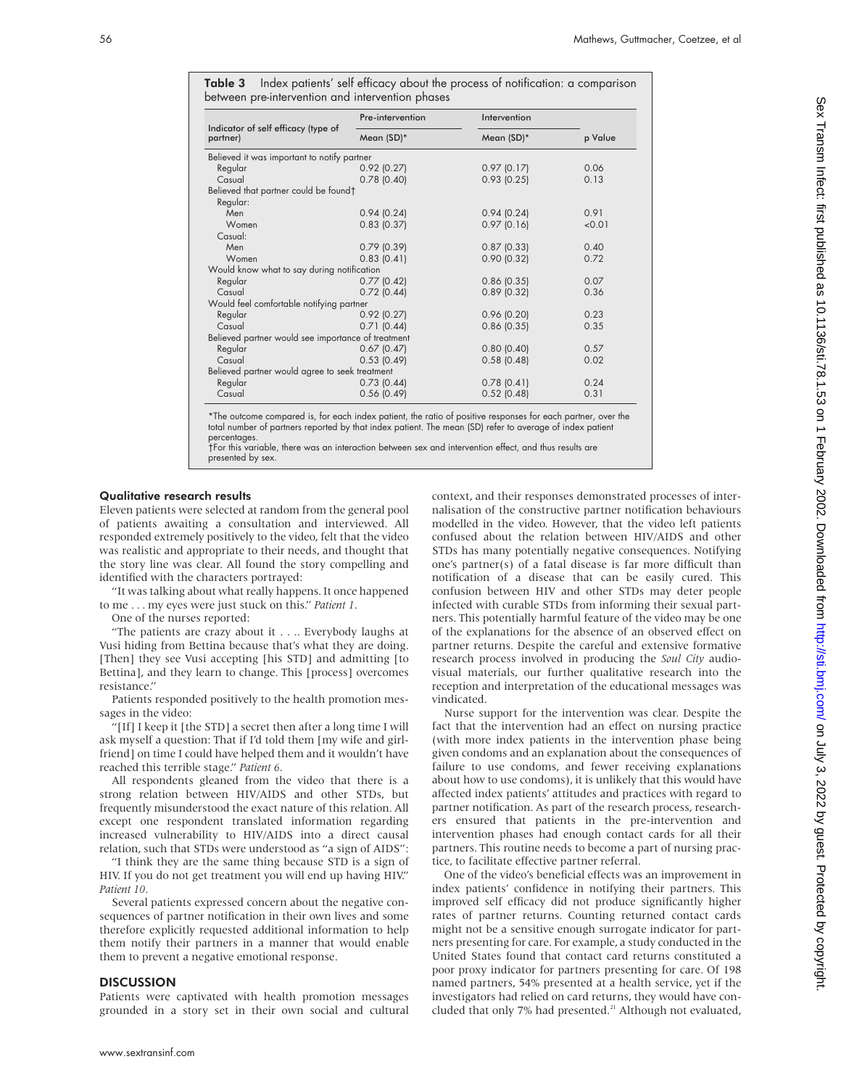Table 3 Index patients' self efficacy about the process of notification: a comparison between pre-intervention and intervention phases

|                                                    | Pre-intervention | Intervention    |         |
|----------------------------------------------------|------------------|-----------------|---------|
| Indicator of self efficacy (type of<br>partner)    | Mean (SD)*       | Mean (SD)*      | p Value |
| Believed it was important to notify partner        |                  |                 |         |
| Regular                                            | $0.92$ (0.27)    | 0.97(0.17)      | 0.06    |
| Casual                                             | $0.78$ (0.40)    | 0.93(0.25)      | 0.13    |
| Believed that partner could be found†              |                  |                 |         |
| Regular:                                           |                  |                 |         |
| Men                                                | 0.94(0.24)       | 0.94(0.24)      | 0.91    |
| Women                                              | $0.83$ (0.37)    | $0.97$ $(0.16)$ | < 0.01  |
| Casual:                                            |                  |                 |         |
| Men                                                | $0.79$ (0.39)    | $0.87$ (0.33)   | 0.40    |
| Women                                              | 0.83(0.41)       | 0.90(0.32)      | 0.72    |
| Would know what to say during notification         |                  |                 |         |
| Regular                                            | $0.77$ $(0.42)$  | $0.86$ (0.35)   | 0.07    |
| Casual                                             | $0.72$ (0.44)    | $0.89$ (0.32)   | 0.36    |
| Would feel comfortable notifying partner           |                  |                 |         |
| Regular                                            | $0.92$ (0.27)    | 0.96(0.20)      | 0.23    |
| Casual                                             | 0.71(0.44)       | $0.86$ (0.35)   | 0.35    |
| Believed partner would see importance of treatment |                  |                 |         |
| Regular                                            | $0.67$ (0.47)    | 0.80(0.40)      | 0.57    |
| Casual                                             | 0.53(0.49)       | $0.58$ (0.48)   | 0.02    |
| Believed partner would agree to seek treatment     |                  |                 |         |
| Regular                                            | $0.73$ (0.44)    | 0.78(0.41)      | 0.24    |
| Casual                                             | 0.56(0.49)       | $0.52$ (0.48)   | 0.31    |

\*The outcome compared is, for each index patient, the ratio of positive responses for each partner, over the total number of partners reported by that index patient. The mean (SD) refer to average of index patient percentages.

†For this variable, there was an interaction between sex and intervention effect, and thus results are presented by sex.

### Qualitative research results

Eleven patients were selected at random from the general pool of patients awaiting a consultation and interviewed. All responded extremely positively to the video, felt that the video was realistic and appropriate to their needs, and thought that the story line was clear. All found the story compelling and identified with the characters portrayed:

"It was talking about what really happens. It once happened to me . . . my eyes were just stuck on this." *Patient 1*.

One of the nurses reported:

"The patients are crazy about it . . .. Everybody laughs at Vusi hiding from Bettina because that's what they are doing. [Then] they see Vusi accepting [his STD] and admitting [to Bettina], and they learn to change. This [process] overcomes resistance."

Patients responded positively to the health promotion messages in the video:

"[If] I keep it [the STD] a secret then after a long time I will ask myself a question: That if I'd told them [my wife and girlfriend] on time I could have helped them and it wouldn't have reached this terrible stage." *Patient 6*.

All respondents gleaned from the video that there is a strong relation between HIV/AIDS and other STDs, but frequently misunderstood the exact nature of this relation. All except one respondent translated information regarding increased vulnerability to HIV/AIDS into a direct causal relation, such that STDs were understood as "a sign of AIDS":

"I think they are the same thing because STD is a sign of HIV. If you do not get treatment you will end up having HIV." *Patient 10*.

Several patients expressed concern about the negative consequences of partner notification in their own lives and some therefore explicitly requested additional information to help them notify their partners in a manner that would enable them to prevent a negative emotional response.

#### **DISCUSSION**

Patients were captivated with health promotion messages grounded in a story set in their own social and cultural context, and their responses demonstrated processes of internalisation of the constructive partner notification behaviours modelled in the video. However, that the video left patients confused about the relation between HIV/AIDS and other STDs has many potentially negative consequences. Notifying one's partner(s) of a fatal disease is far more difficult than notification of a disease that can be easily cured. This confusion between HIV and other STDs may deter people infected with curable STDs from informing their sexual partners. This potentially harmful feature of the video may be one of the explanations for the absence of an observed effect on partner returns. Despite the careful and extensive formative research process involved in producing the *Soul City* audiovisual materials, our further qualitative research into the reception and interpretation of the educational messages was vindicated.

Nurse support for the intervention was clear. Despite the fact that the intervention had an effect on nursing practice (with more index patients in the intervention phase being given condoms and an explanation about the consequences of failure to use condoms, and fewer receiving explanations about how to use condoms), it is unlikely that this would have affected index patients' attitudes and practices with regard to partner notification. As part of the research process, researchers ensured that patients in the pre-intervention and intervention phases had enough contact cards for all their partners. This routine needs to become a part of nursing practice, to facilitate effective partner referral.

One of the video's beneficial effects was an improvement in index patients' confidence in notifying their partners. This improved self efficacy did not produce significantly higher rates of partner returns. Counting returned contact cards might not be a sensitive enough surrogate indicator for partners presenting for care. For example, a study conducted in the United States found that contact card returns constituted a poor proxy indicator for partners presenting for care. Of 198 named partners, 54% presented at a health service, yet if the investigators had relied on card returns, they would have concluded that only 7% had presented.<sup>21</sup> Although not evaluated,